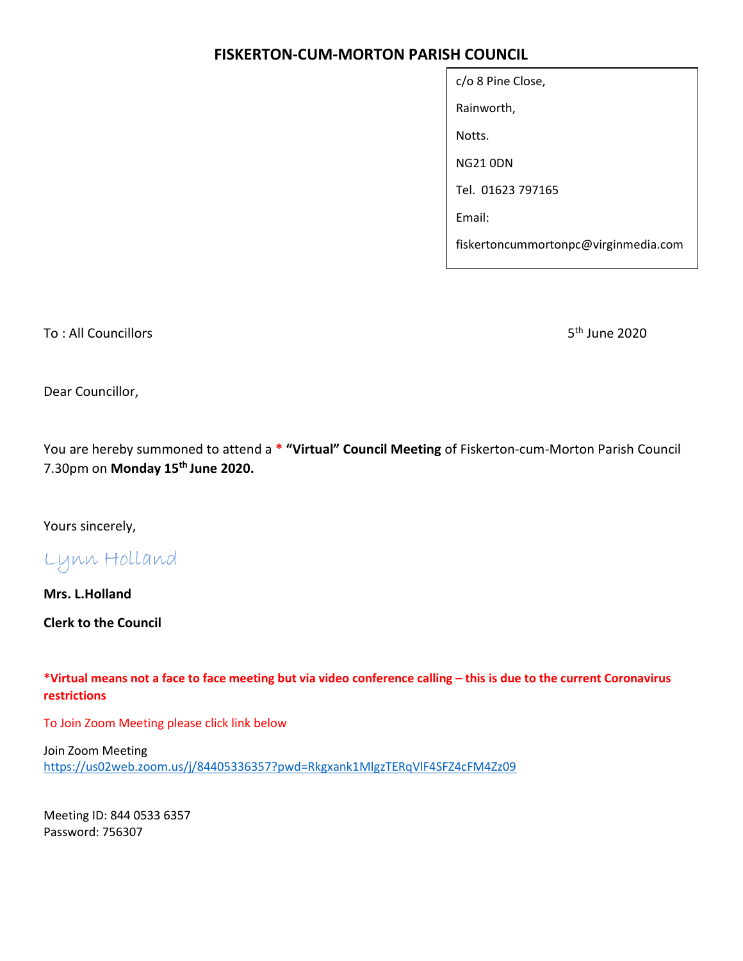## FISKERTON-CUM-MORTON PARISH COUNCIL

| c/o 8 Pine Close,                    |  |  |  |
|--------------------------------------|--|--|--|
| Rainworth,                           |  |  |  |
| Notts.                               |  |  |  |
| NG21 0DN                             |  |  |  |
| Tel. 01623 797165                    |  |  |  |
| Email:                               |  |  |  |
| fiskertoncummortonpc@virginmedia.com |  |  |  |

To : All Councillors 5th June 2020

Dear Councillor,

You are hereby summoned to attend a \* "Virtual" Council Meeting of Fiskerton-cum-Morton Parish Council 7.30pm on Monday 15<sup>th</sup> June 2020.

Yours sincerely,

Lynn Holland

Mrs. L.Holland

Clerk to the Council

\*Virtual means not a face to face meeting but via video conference calling – this is due to the current Coronavirus restrictions

To Join Zoom Meeting please click link below

Join Zoom Meeting https://us02web.zoom.us/j/84405336357?pwd=Rkgxank1MlgzTERqVlF4SFZ4cFM4Zz09

Meeting ID: 844 0533 6357 Password: 756307